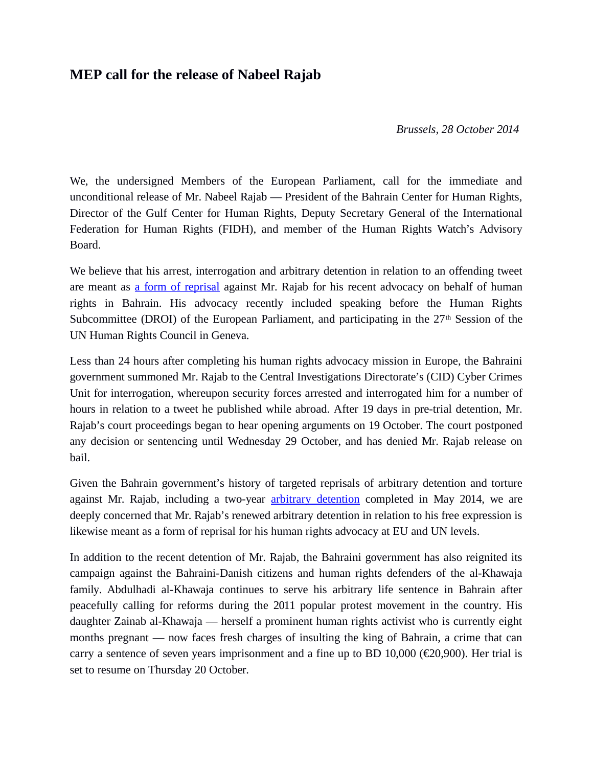## **MEP call for the release of Nabeel Rajab**

*Brussels, 28 October 2014* 

We, the undersigned Members of the European Parliament, call for the immediate and unconditional release of Mr. Nabeel Rajab — President of the Bahrain Center for Human Rights, Director of the Gulf Center for Human Rights, Deputy Secretary General of the International Federation for Human Rights (FIDH), and member of the Human Rights Watch's Advisory Board.

We believe that his arrest, interrogation and arbitrary detention in relation to an offending tweet are meant as [a form of reprisal](http://www.ohchr.org/EN/NewsEvents/Pages/DisplayNews.aspx?NewsID=15135&LangID=E) against Mr. Rajab for his recent advocacy on behalf of human rights in Bahrain. His advocacy recently included speaking before the Human Rights Subcommittee (DROI) of the European Parliament, and participating in the  $27<sup>th</sup>$  Session of the UN Human Rights Council in Geneva.

Less than 24 hours after completing his human rights advocacy mission in Europe, the Bahraini government summoned Mr. Rajab to the Central Investigations Directorate's (CID) Cyber Crimes Unit for interrogation, whereupon security forces arrested and interrogated him for a number of hours in relation to a tweet he published while abroad. After 19 days in pre-trial detention, Mr. Rajab's court proceedings began to hear opening arguments on 19 October. The court postponed any decision or sentencing until Wednesday 29 October, and has denied Mr. Rajab release on bail.

Given the Bahrain government's history of targeted reprisals of arbitrary detention and torture against Mr. Rajab, including a two-year **arbitrary detention** completed in May 2014, we are deeply concerned that Mr. Rajab's renewed arbitrary detention in relation to his free expression is likewise meant as a form of reprisal for his human rights advocacy at EU and UN levels.

In addition to the recent detention of Mr. Rajab, the Bahraini government has also reignited its campaign against the Bahraini-Danish citizens and human rights defenders of the al-Khawaja family. Abdulhadi al-Khawaja continues to serve his arbitrary life sentence in Bahrain after peacefully calling for reforms during the 2011 popular protest movement in the country. His daughter Zainab al-Khawaja — herself a prominent human rights activist who is currently eight months pregnant — now faces fresh charges of insulting the king of Bahrain, a crime that can carry a sentence of seven years imprisonment and a fine up to BD 10,000 ( $\epsilon$ 20,900). Her trial is set to resume on Thursday 20 October.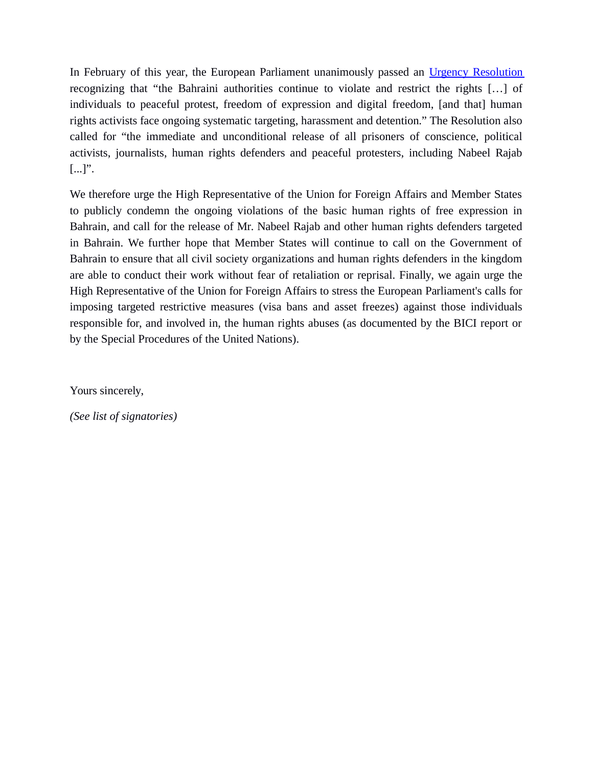In February of this year, the European Parliament unanimously passed an [Urgency Resolution](http://www.europarl.europa.eu/sides/getDoc.do?type=TA&language=EN&reference=P7-TA-2014-0109) recognizing that "the Bahraini authorities continue to violate and restrict the rights […] of individuals to peaceful protest, freedom of expression and digital freedom, [and that] human rights activists face ongoing systematic targeting, harassment and detention." The Resolution also called for "the immediate and unconditional release of all prisoners of conscience, political activists, journalists, human rights defenders and peaceful protesters, including Nabeel Rajab  $[...]$ ".

We therefore urge the High Representative of the Union for Foreign Affairs and Member States to publicly condemn the ongoing violations of the basic human rights of free expression in Bahrain, and call for the release of Mr. Nabeel Rajab and other human rights defenders targeted in Bahrain. We further hope that Member States will continue to call on the Government of Bahrain to ensure that all civil society organizations and human rights defenders in the kingdom are able to conduct their work without fear of retaliation or reprisal. Finally, we again urge the High Representative of the Union for Foreign Affairs to stress the European Parliament's calls for imposing targeted restrictive measures (visa bans and asset freezes) against those individuals responsible for, and involved in, the human rights abuses (as documented by the BICI report or by the Special Procedures of the United Nations).

Yours sincerely,

*(See list of signatories)*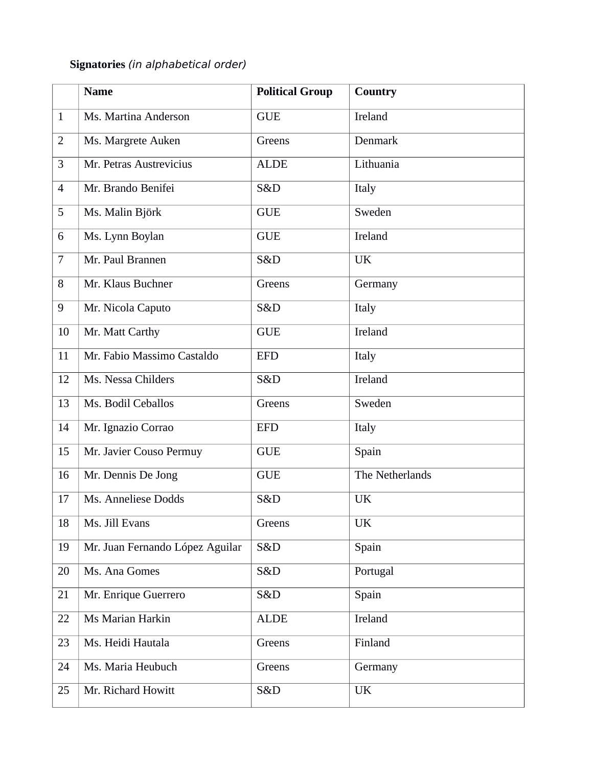## **Signatories** (in alphabetical order)

|                | <b>Name</b>                     | <b>Political Group</b> | Country         |
|----------------|---------------------------------|------------------------|-----------------|
| $\mathbf{1}$   | Ms. Martina Anderson            | <b>GUE</b>             | Ireland         |
| $\mathbf{2}$   | Ms. Margrete Auken              | Greens                 | Denmark         |
| 3              | Mr. Petras Austrevicius         | <b>ALDE</b>            | Lithuania       |
| $\overline{4}$ | Mr. Brando Benifei              | S&D                    | Italy           |
| 5              | Ms. Malin Björk                 | <b>GUE</b>             | Sweden          |
| 6              | Ms. Lynn Boylan                 | <b>GUE</b>             | Ireland         |
| $\overline{7}$ | Mr. Paul Brannen                | S&D                    | <b>UK</b>       |
| 8              | Mr. Klaus Buchner               | Greens                 | Germany         |
| 9              | Mr. Nicola Caputo               | S&D                    | Italy           |
| 10             | Mr. Matt Carthy                 | <b>GUE</b>             | Ireland         |
| 11             | Mr. Fabio Massimo Castaldo      | <b>EFD</b>             | Italy           |
| 12             | Ms. Nessa Childers              | S&D                    | Ireland         |
| 13             | Ms. Bodil Ceballos              | Greens                 | Sweden          |
| 14             | Mr. Ignazio Corrao              | <b>EFD</b>             | Italy           |
| 15             | Mr. Javier Couso Permuy         | <b>GUE</b>             | Spain           |
| 16             | Mr. Dennis De Jong              | <b>GUE</b>             | The Netherlands |
| 17             | Ms. Anneliese Dodds             | S&D                    | <b>UK</b>       |
| 18             | Ms. Jill Evans                  | Greens                 | <b>UK</b>       |
| 19             | Mr. Juan Fernando López Aguilar | S&D                    | Spain           |
| 20             | Ms. Ana Gomes                   | S&D                    | Portugal        |
| 21             | Mr. Enrique Guerrero            | S&D                    | Spain           |
| 22             | Ms Marian Harkin                | <b>ALDE</b>            | Ireland         |
| 23             | Ms. Heidi Hautala               | Greens                 | Finland         |
| 24             | Ms. Maria Heubuch               | Greens                 | Germany         |
| 25             | Mr. Richard Howitt              | S&D                    | <b>UK</b>       |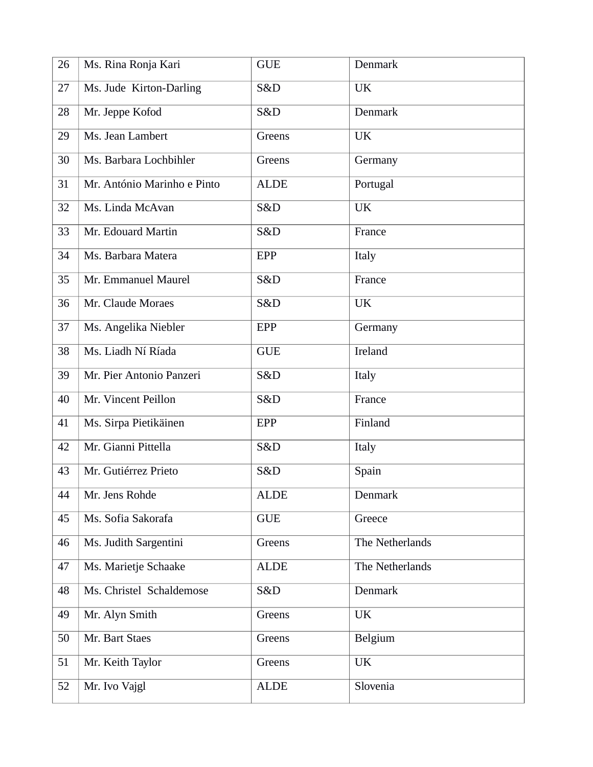| 26 | Ms. Rina Ronja Kari         | <b>GUE</b>  | Denmark         |
|----|-----------------------------|-------------|-----------------|
| 27 | Ms. Jude Kirton-Darling     | S&D         | <b>UK</b>       |
| 28 | Mr. Jeppe Kofod             | S&D         | Denmark         |
| 29 | Ms. Jean Lambert            | Greens      | <b>UK</b>       |
| 30 | Ms. Barbara Lochbihler      | Greens      | Germany         |
| 31 | Mr. António Marinho e Pinto | <b>ALDE</b> | Portugal        |
| 32 | Ms. Linda McAvan            | S&D         | <b>UK</b>       |
| 33 | Mr. Edouard Martin          | S&D         | France          |
| 34 | Ms. Barbara Matera          | EPP         | Italy           |
| 35 | Mr. Emmanuel Maurel         | S&D         | France          |
| 36 | Mr. Claude Moraes           | S&D         | <b>UK</b>       |
| 37 | Ms. Angelika Niebler        | EPP         | Germany         |
| 38 | Ms. Liadh Ní Ríada          | <b>GUE</b>  | Ireland         |
| 39 | Mr. Pier Antonio Panzeri    | S&D         | Italy           |
| 40 | Mr. Vincent Peillon         | S&D         | France          |
| 41 | Ms. Sirpa Pietikäinen       | <b>EPP</b>  | Finland         |
| 42 | Mr. Gianni Pittella         | S&D         | Italy           |
| 43 | Mr. Gutiérrez Prieto        | S&D         | Spain           |
| 44 | Mr. Jens Rohde              | <b>ALDE</b> | Denmark         |
| 45 | Ms. Sofia Sakorafa          | <b>GUE</b>  | Greece          |
| 46 | Ms. Judith Sargentini       | Greens      | The Netherlands |
| 47 | Ms. Marietje Schaake        | <b>ALDE</b> | The Netherlands |
| 48 | Ms. Christel Schaldemose    | S&D         | Denmark         |
| 49 | Mr. Alyn Smith              | Greens      | <b>UK</b>       |
| 50 | Mr. Bart Staes              | Greens      | Belgium         |
| 51 | Mr. Keith Taylor            | Greens      | <b>UK</b>       |
| 52 | Mr. Ivo Vajgl               | <b>ALDE</b> | Slovenia        |